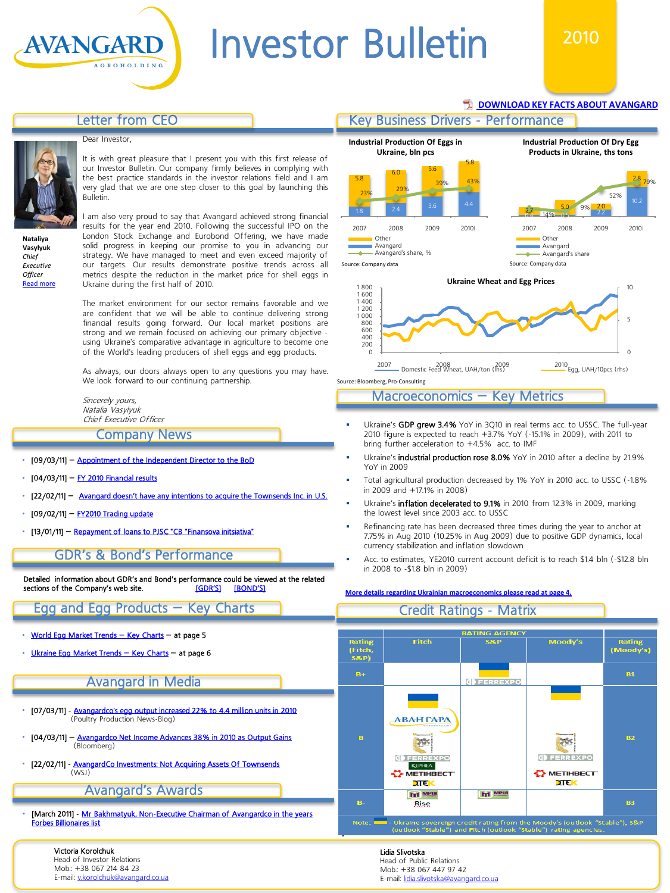**[DOWNLOAD KEY FACTS ABOUT AVANGARD](http://avangard.co.ua/files/site/Avangard_fact-sheet_YE2010.pdf)** 

# Letter from CEO

#### Dear Investor,

AVANGARD



It is with great pleasure that I present you with this first release of our Investor Bulletin. Our company firmly believes in complying with the best practice standards in the investor relations field and I am very glad that we are one step closer to this goal by launching this Bulletin.

**Nataliya Vasylyuk** *Chief Executive Officer* **Read mo** 

I am also very proud to say that Avangard achieved strong financial results for the year end 2010. Following the successful IPO on the London Stock Exchange and Eurobond Offering, we have made solid progress in keeping our promise to you in advancing our strategy. We have managed to meet and even exceed majority of our targets. Our results demonstrate positive trends across all metrics despite the reduction in the market price for shell eggs in Ukraine during the first half of 2010.

The market environment for our sector remains favorable and we are confident that we will be able to continue delivering strong financial results going forward. Our local market positions are strong and we remain focused on achieving our primary objective using Ukraine's comparative advantage in agriculture to become one of the World's leading producers of shell eggs and egg products.

As always, our doors always open to any questions you may have. We look forward to our continuing partnership.

Sincerely yours, Natalia Vasylyuk Chief Executive Officer

# Company News

- [09/03/11] [Appointment of the Independent Director to the BoD](http://avangard.co.ua/eng/press-centre/press-releases/e/year/2011/id/62/news_next/1/)
- $[04/03/11]$  [FY 2010 Financial results](http://avangard.co.ua/eng/press-centre/press-releases/e/year/2011/id/59/news_next/1/)
- [22/02/11] [Avangard doesn't have any intentions to acquire the Townsends Inc. in U.S.](http://avangard.co.ua/eng/press-centre/press-releases/e/year/2011/id/54/news_next/1/)
- [09/02/11] [FY2010 Trading update](http://avangard.co.ua/eng/press-centre/press-releases/e/year/2011/id/53/news_next/6/)
- [13/01/11] [Repayment of loans to PJSC "CB "Finansova](http://avangard.co.ua/eng/press-centre/press-releases/e/year/2011/id/52/news_next/6/) [initsiativa"](http://avangard.co.ua/eng/press-centre/press-releases/e/year/2011/id/52/news_next/6/)

# GDR's & Bond's Performance

Detailed information about GDR's and Bond's performance could be viewed at the related sections of the Company's web site. sections of the Company's web site.

# Egg and Egg Products – Key Charts

- [World](#page-3-0) [Egg](#page-3-0) [Market](#page-3-0) [Trends](#page-3-0) [–](#page-3-0) [Key](#page-3-0) [Charts](#page-3-0) at page 5
- [Ukraine](#page-4-0) [Egg](#page-4-0) [Market](#page-4-0) [Trends](#page-4-0) [–](#page-4-0) [Key](#page-4-0) [Charts](#page-4-0) at page 6

# Avangard in Media

- [07/03/11] [Avangardco's](http://poultryproductionnews.blogspot.com/2011/03/avangardcos-egg-output-increased-22-to.html) [egg output increased 22% to 4.4 million units in 2010](http://poultryproductionnews.blogspot.com/2011/03/avangardcos-egg-output-increased-22-to.html)  (Poultry Production News-Blog)
- [04/03/11] [Avangardco Net Income Advances 38% in 2010 as Output Gains](http://www.bloomberg.com/news/2011-03-04/avangardco-net-income-advances-38-in-2010-as-output-gains-1-.html) (Bloomberg)
- [22/02/11] [AvangardCo](http://online.wsj.com/article/BT-CO-20110222-708995.html) [Investments: Not Acquiring Assets Of Townsends](http://online.wsj.com/article/BT-CO-20110222-708995.html)  $(NA|S)$

# Avangard's Awards

[March 2011] - [Mr](http://www.forbes.com/profile/oleg-bakhmatyuk) [Bakhmatyuk, Non-Executive Chairman of Avangardco](http://www.forbes.com/profile/oleg-bakhmatyuk) [in the years](http://www.forbes.com/profile/oleg-bakhmatyuk) [Forbes Billionaires list](http://www.forbes.com/profile/oleg-bakhmatyuk) 

#### Victoria Korolchuk

Head of Investor Relations Mob.: +38 067 214 84 23 E-mail: [v.korolchuk@avangard.co.ua](mailto:v.korolchuk@avangard.co.ua)





Source: Bloomberg, Pro-Consulting

#### Macroeconomics – Key Metrics

- Ukraine's GDP grew 3.4% YoY in 3Q10 in real terms acc. to USSC. The full-year 2010 figure is expected to reach +3.7% YoY (-15.1% in 2009), with 2011 to bring further acceleration to +4.5% acc. to IMF
- Ukraine's industrial production rose 8.0% YoY in 2010 after a decline by 21.9% YoY in 2009
- Total agricultural production decreased by 1% YoY in 2010 acc. to USSC (-1.8% in 2009 and +17.1% in 2008)
- Ukraine's **inflation decelerated to 9.1%** in 2010 from 12.3% in 2009, marking the lowest level since 2003 acc. to USSC
- Refinancing rate has been decreased three times during the year to anchor at 7.75% in Aug 2010 (10.25% in Aug 2009) due to positive GDP dynamics, local currency stabilization and inflation slowdown
- Acc. to estimates, YE2010 current account deficit is to reach \$1.4 bln (-\$12.8 bln in 2008 to -\$1.8 bln in 2009)

#### **[More details regarding Ukrainian macroeconomics please read at page 4.](#page-2-0)**



Lidia Slivotska Head of Public Relations Mob.: +38 067 447 97 42<br>E-mail: lidia slivotska@avangard.co.ua E-mail: lidia.slivotska@ava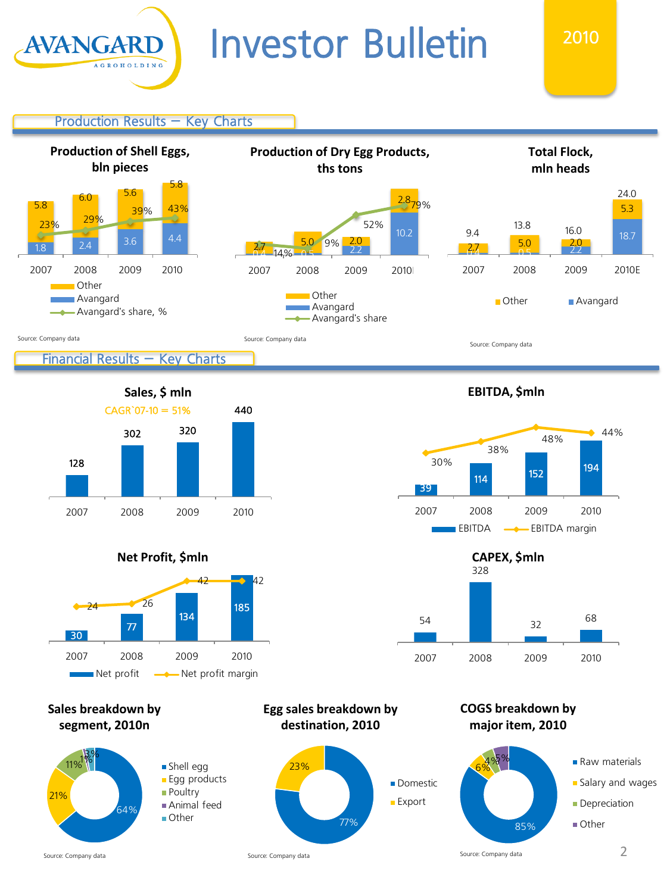

2010

Production Results – Key Charts





**Net Profit, \$mln**



**Sales breakdown by segment, 2010n**









**COGS breakdown by major item, 2010**



Source: Company data

21%

**Egg sales breakdown by destination, 2010**

**Export**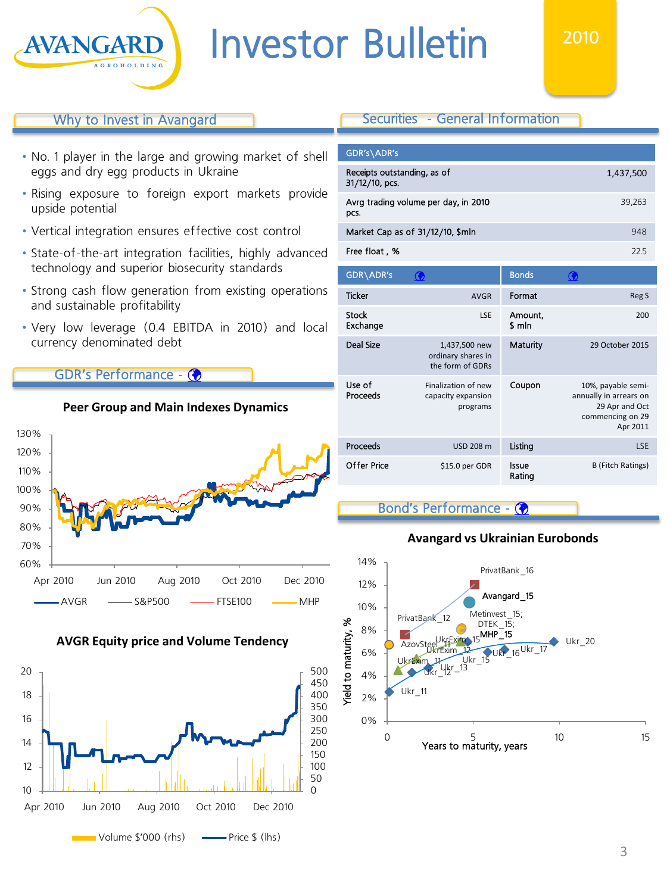

# 2010

# Why to Invest in Avangard

- No. 1 player in the large and growing market of shell eggs and dry egg products in Ukraine
- Rising exposure to foreign export markets provide upside potential
- Vertical integration ensures effective cost control
- State-of-the-art integration facilities, highly advanced technology and superior biosecurity standards
- Strong cash flow generation from existing operations and sustainable profitability
- Very low leverage (0.4 EBITDA in 2010) and local currency denominated debt

**Peer Group and Main Indexes Dynamics**

# GDR's Performance - (



#### **AVGR Equity price and Volume Tendency**

<span id="page-2-0"></span>

# Securities - General Information

| 1,437,500 |
|-----------|
| 39,263    |
| 948       |
| 225       |
|           |

| GDR\ADR's          |                                                         | <b>Bonds</b>      |                                                                                                |
|--------------------|---------------------------------------------------------|-------------------|------------------------------------------------------------------------------------------------|
| <b>Ticker</b>      | <b>AVGR</b>                                             | Format            | Reg S                                                                                          |
| Stock<br>Exchange  | LSE                                                     | Amount,<br>\$ mln | 200                                                                                            |
| Deal Size          | 1,437,500 new<br>ordinary shares in<br>the form of GDRs | Maturity          | 29 October 2015                                                                                |
| Use of<br>Proceeds | Finalization of new<br>capacity expansion<br>programs   | Coupon            | 10%, payable semi-<br>annually in arrears on<br>29 Apr and Oct<br>commencing on 29<br>Apr 2011 |
| Proceeds           | <b>USD 208 m</b>                                        | Listing           | LSE                                                                                            |
| Offer Price        | \$15.0 per GDR                                          | Issue<br>Rating   | <b>B</b> (Fitch Ratings)                                                                       |

### Bond's Performance -

### **Avangard vs Ukrainian Eurobonds**

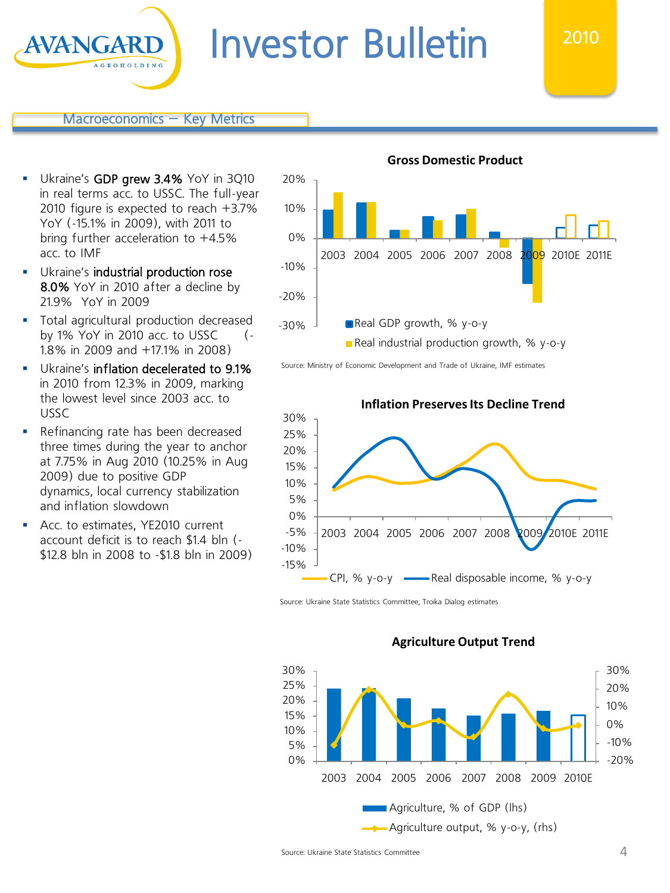20%

### Macroeconomics – Key Metrics

Ukraine's GDP grew 3.4% YoY in 3Q10 in real terms acc. to USSC. The full-year 2010 figure is expected to reach +3.7% YoY (-15.1% in 2009), with 2011 to bring further acceleration to  $+4.5%$ acc. to IMF

**AVANGARI** 

- **Ukraine's industrial production rose** 8.0% YoY in 2010 after a decline by 21.9% YoY in 2009
- **Total agricultural production decreased** by 1% YoY in 2010 acc. to USSC (- 1.8% in 2009 and +17.1% in 2008)
- Ukraine's inflation decelerated to 9.1% in 2010 from 12.3% in 2009, marking the lowest level since 2003 acc. to USSC
- Refinancing rate has been decreased three times during the year to anchor at 7.75% in Aug 2010 (10.25% in Aug 2009) due to positive GDP dynamics, local currency stabilization and inflation slowdown
- **Acc. to estimates, YE2010 current** account deficit is to reach \$1.4 bln (- \$12.8 bln in 2008 to -\$1.8 bln in 2009)



2010



Source: Ministry of Economic Development and Trade of Ukraine, IMF estimates



Source: Ukraine State Statistics Committee, Troika Dialog estimates



#### **Agriculture Output Trend**

<span id="page-3-0"></span>Source: Ukraine State Statistics Committee 4 and 2008 and 2008 and 2008 and 2008 and 4 and 4 and 4 and 4 and 4 and 4 and 4 and 4 and 4 and 4 and 4 and 4 and 4 and 4 and 4 and 4 and 4 and 4 and 4 and 4 and 4 and 4 and 4 and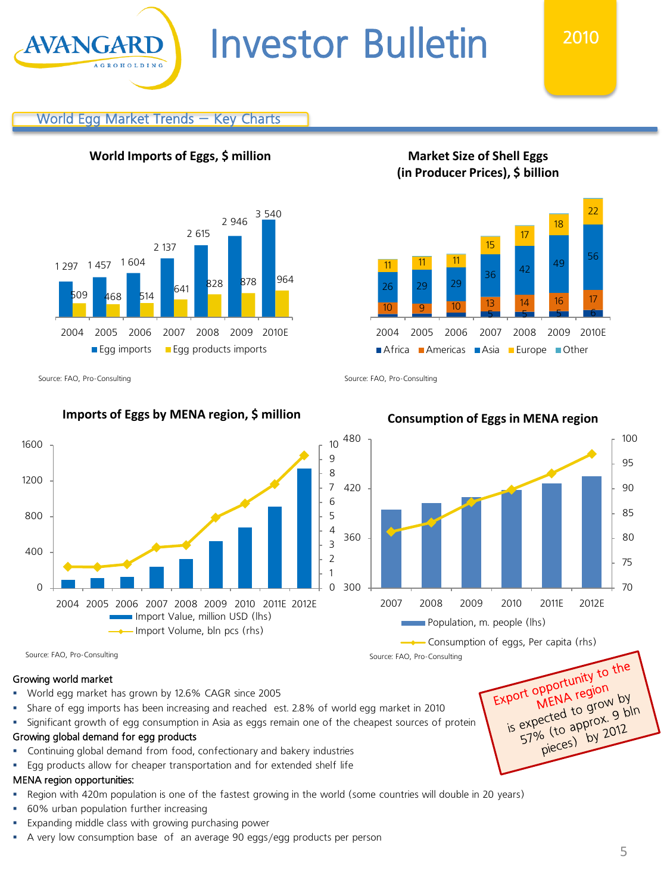# World Egg Market Trends – Key Charts

**World Imports of Eggs, \$ million**



Source: FAO, Pro-Consulting Source: FAO, Pro-Consulting Source: FAO, Pro-Consulting

**AVANGA** 

# **Imports of Eggs by MENA region, \$ million Consumption of Eggs in MENA region**



Source: FAO, Pro-Consulting Source: FAO, Pro-Consulting Source: FAO, Pro-Consulting

# Growing world market

- World egg market has grown by 12.6% CAGR since 2005
- Share of egg imports has been increasing and reached est. 2.8% of world egg market in 2010
- Significant growth of egg consumption in Asia as eggs remain one of the cheapest sources of protein

### Growing global demand for egg products

- Continuing global demand from food, confectionary and bakery industries
- Egg products allow for cheaper transportation and for extended shelf life

# MENA region opportunities:

- Region with 420m population is one of the fastest growing in the world (some countries will double in 20 years)
- 60% urban population further increasing
- Expanding middle class with growing purchasing power
- <span id="page-4-0"></span>A very low consumption base of an average 90 eggs/egg products per person

5 5 5 5 5 6 10 9 10 13 14 16 17 26 29 29 <sup>36</sup> <sup>42</sup> <sup>49</sup> <sup>56</sup> 11 11 11 15 17 2004 2005 2006 2007 2008 2009 2010E **Africa Americas Asia Europe Other** 



**Market Size of Shell Eggs (in Producer Prices), \$ billion**

18

22

Export opportunity to the opportunity<br>MENA region port opport<br>MENA region<br>is expected to grow 9 bl MENA to grow by<br>expected to grow 9 bln<br>57% (to approx. 9 bln ected<br>% (to approx. 9 by<br>pieces) by 2012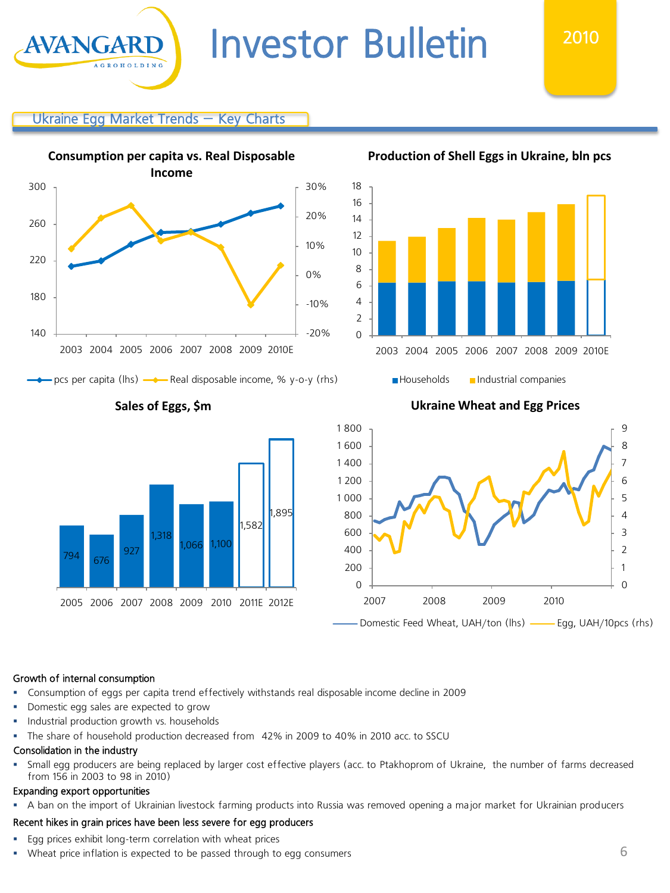# Ukraine Egg Market Trends – Key Charts

AVANGAR



- pcs per capita (lhs)  $\longrightarrow$  Real disposable income, % y-o-y (rhs)



0 2 4 6 8 10 12 14 16 18 2003 2004 2005 2006 2007 2008 2009 2010E

# **Production of Shell Eggs in Ukraine, bln pcs**

2010



# **Sales of Eggs, \$m Ukraine Wheat and Egg Prices**

**Households Industrial companies** 



#### Growth of internal consumption

- Consumption of eggs per capita trend effectively withstands real disposable income decline in 2009
- **Domestic egg sales are expected to grow**
- **Industrial production growth vs. households**
- The share of household production decreased from 42% in 2009 to 40% in 2010 acc. to SSCU

#### Consolidation in the industry

 Small egg producers are being replaced by larger cost effective players (acc. to Ptakhoprom of Ukraine, the number of farms decreased from 156 in 2003 to 98 in 2010)

#### Expanding export opportunities

A ban on the import of Ukrainian livestock farming products into Russia was removed opening a major market for Ukrainian producers

#### Recent hikes in grain prices have been less severe for egg producers

- **Egg prices exhibit long-term correlation with wheat prices**
- Wheat price inflation is expected to be passed through to egg consumers 6